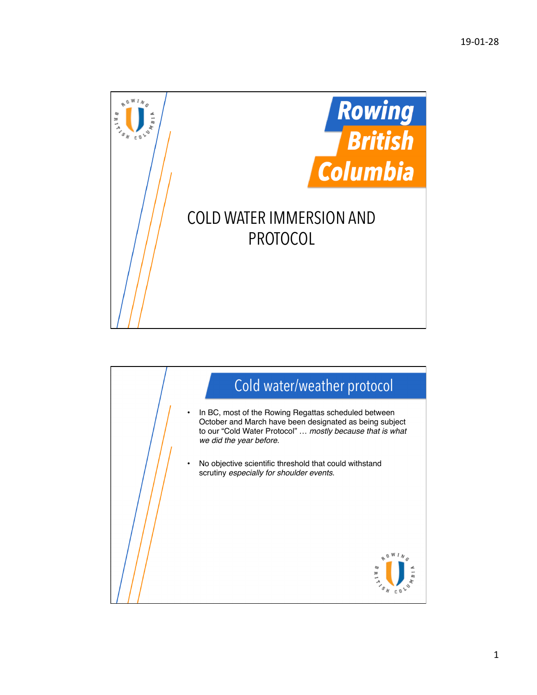

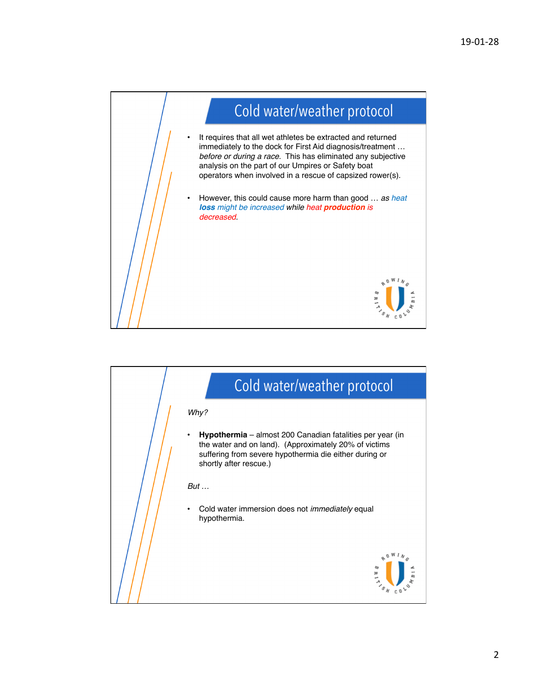

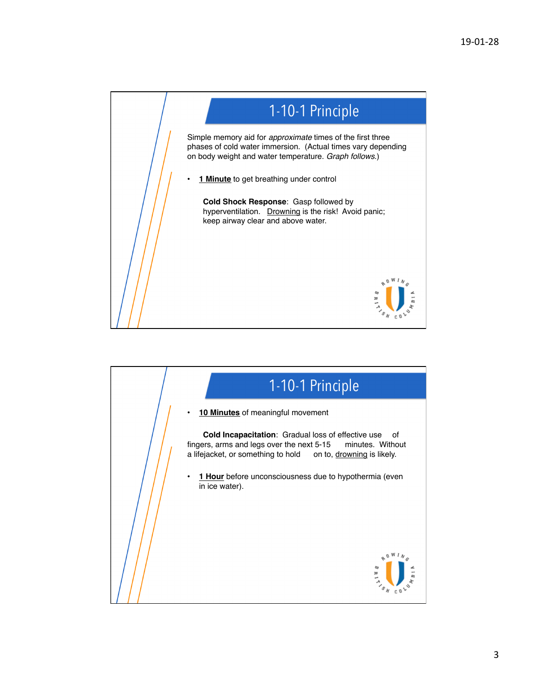

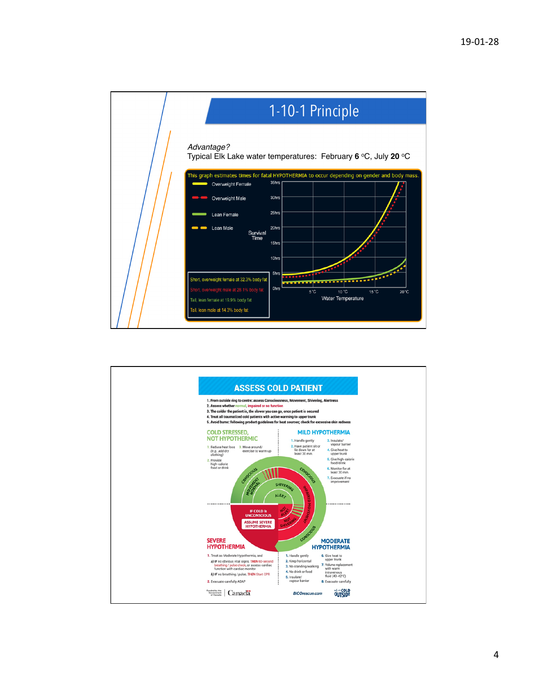